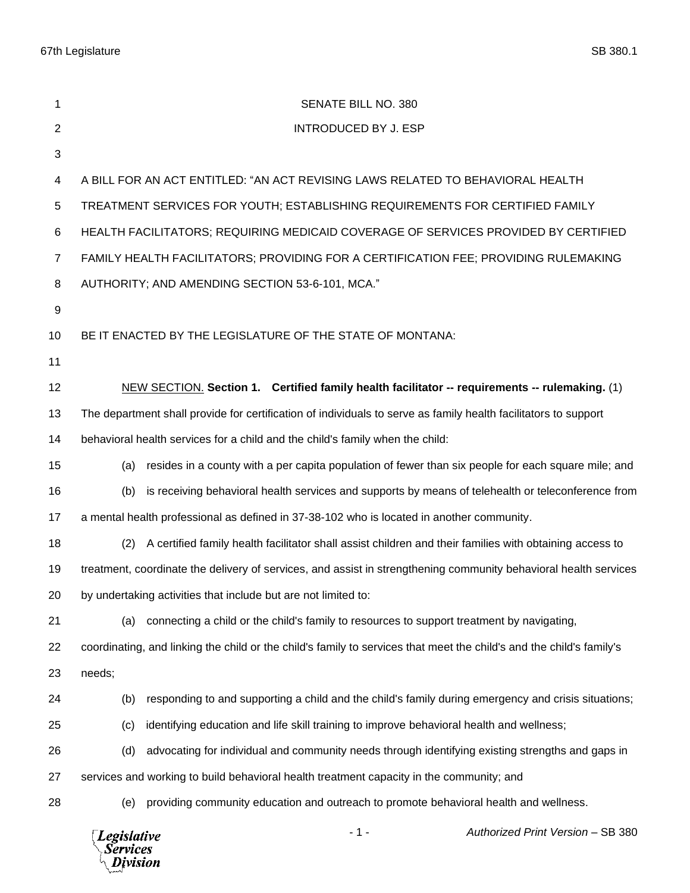| 1              | SENATE BILL NO. 380                                                                                                  |  |  |  |
|----------------|----------------------------------------------------------------------------------------------------------------------|--|--|--|
| $\overline{2}$ | <b>INTRODUCED BY J. ESP</b>                                                                                          |  |  |  |
| 3              |                                                                                                                      |  |  |  |
| 4              | A BILL FOR AN ACT ENTITLED: "AN ACT REVISING LAWS RELATED TO BEHAVIORAL HEALTH                                       |  |  |  |
| 5              | TREATMENT SERVICES FOR YOUTH; ESTABLISHING REQUIREMENTS FOR CERTIFIED FAMILY                                         |  |  |  |
| 6              | HEALTH FACILITATORS; REQUIRING MEDICAID COVERAGE OF SERVICES PROVIDED BY CERTIFIED                                   |  |  |  |
| $\overline{7}$ | FAMILY HEALTH FACILITATORS; PROVIDING FOR A CERTIFICATION FEE; PROVIDING RULEMAKING                                  |  |  |  |
| 8              | AUTHORITY; AND AMENDING SECTION 53-6-101, MCA."                                                                      |  |  |  |
| 9              |                                                                                                                      |  |  |  |
| 10             | BE IT ENACTED BY THE LEGISLATURE OF THE STATE OF MONTANA:                                                            |  |  |  |
| 11             |                                                                                                                      |  |  |  |
| 12             | NEW SECTION. Section 1. Certified family health facilitator -- requirements -- rulemaking. (1)                       |  |  |  |
| 13             | The department shall provide for certification of individuals to serve as family health facilitators to support      |  |  |  |
| 14             | behavioral health services for a child and the child's family when the child:                                        |  |  |  |
| 15             | resides in a county with a per capita population of fewer than six people for each square mile; and<br>(a)           |  |  |  |
| 16             | is receiving behavioral health services and supports by means of telehealth or teleconference from<br>(b)            |  |  |  |
| 17             | a mental health professional as defined in 37-38-102 who is located in another community.                            |  |  |  |
| 18             | A certified family health facilitator shall assist children and their families with obtaining access to<br>(2)       |  |  |  |
| 19             | treatment, coordinate the delivery of services, and assist in strengthening community behavioral health services     |  |  |  |
| 20             | by undertaking activities that include but are not limited to:                                                       |  |  |  |
| 21             | connecting a child or the child's family to resources to support treatment by navigating,<br>(a)                     |  |  |  |
| 22             | coordinating, and linking the child or the child's family to services that meet the child's and the child's family's |  |  |  |
| 23             | needs;                                                                                                               |  |  |  |
| 24             | responding to and supporting a child and the child's family during emergency and crisis situations;<br>(b)           |  |  |  |
| 25             | identifying education and life skill training to improve behavioral health and wellness;<br>(c)                      |  |  |  |
| 26             | advocating for individual and community needs through identifying existing strengths and gaps in<br>(d)              |  |  |  |
| 27             | services and working to build behavioral health treatment capacity in the community; and                             |  |  |  |
| 28             | providing community education and outreach to promote behavioral health and wellness.<br>(e)                         |  |  |  |
|                | Authorized Print Version - SB 380<br>- 1 -<br><b>Legislative</b><br>Services<br>Division                             |  |  |  |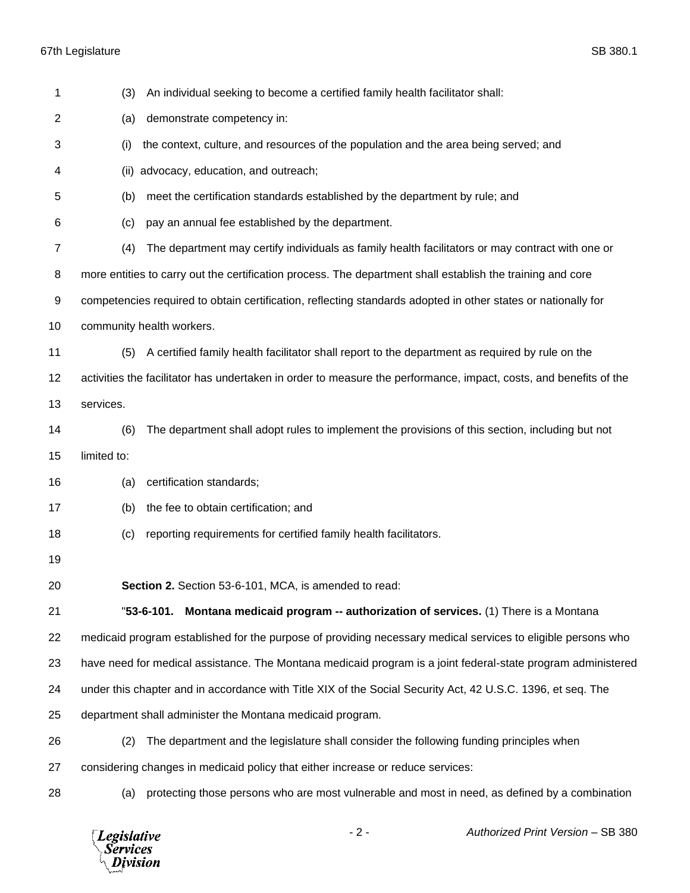| 1  | An individual seeking to become a certified family health facilitator shall:<br>(3)                               |  |  |  |
|----|-------------------------------------------------------------------------------------------------------------------|--|--|--|
| 2  | demonstrate competency in:<br>(a)                                                                                 |  |  |  |
| 3  | the context, culture, and resources of the population and the area being served; and<br>(i)                       |  |  |  |
| 4  | advocacy, education, and outreach;<br>(ii)                                                                        |  |  |  |
| 5  | meet the certification standards established by the department by rule; and<br>(b)                                |  |  |  |
| 6  | pay an annual fee established by the department.<br>(c)                                                           |  |  |  |
| 7  | The department may certify individuals as family health facilitators or may contract with one or<br>(4)           |  |  |  |
| 8  | more entities to carry out the certification process. The department shall establish the training and core        |  |  |  |
| 9  | competencies required to obtain certification, reflecting standards adopted in other states or nationally for     |  |  |  |
| 10 | community health workers.                                                                                         |  |  |  |
| 11 | A certified family health facilitator shall report to the department as required by rule on the<br>(5)            |  |  |  |
| 12 | activities the facilitator has undertaken in order to measure the performance, impact, costs, and benefits of the |  |  |  |
| 13 | services.                                                                                                         |  |  |  |
| 14 | The department shall adopt rules to implement the provisions of this section, including but not<br>(6)            |  |  |  |
| 15 | limited to:                                                                                                       |  |  |  |
| 16 | certification standards;<br>(a)                                                                                   |  |  |  |
| 17 | the fee to obtain certification; and<br>(b)                                                                       |  |  |  |
| 18 | reporting requirements for certified family health facilitators.<br>(c)                                           |  |  |  |
| 19 |                                                                                                                   |  |  |  |
| 20 | Section 2. Section 53-6-101, MCA, is amended to read:                                                             |  |  |  |
| 21 | Montana medicaid program -- authorization of services. (1) There is a Montana<br>$"53-6-101.$                     |  |  |  |
| 22 | medicaid program established for the purpose of providing necessary medical services to eligible persons who      |  |  |  |
| 23 | have need for medical assistance. The Montana medicaid program is a joint federal-state program administered      |  |  |  |
| 24 | under this chapter and in accordance with Title XIX of the Social Security Act, 42 U.S.C. 1396, et seq. The       |  |  |  |
| 25 | department shall administer the Montana medicaid program.                                                         |  |  |  |
| 26 | (2)<br>The department and the legislature shall consider the following funding principles when                    |  |  |  |
| 27 | considering changes in medicaid policy that either increase or reduce services:                                   |  |  |  |
| 28 | protecting those persons who are most vulnerable and most in need, as defined by a combination<br>(a)             |  |  |  |
|    | $-2-$<br>Authorized Print Version - SB 380<br><b>Legislative</b><br><b>Services</b><br>Division                   |  |  |  |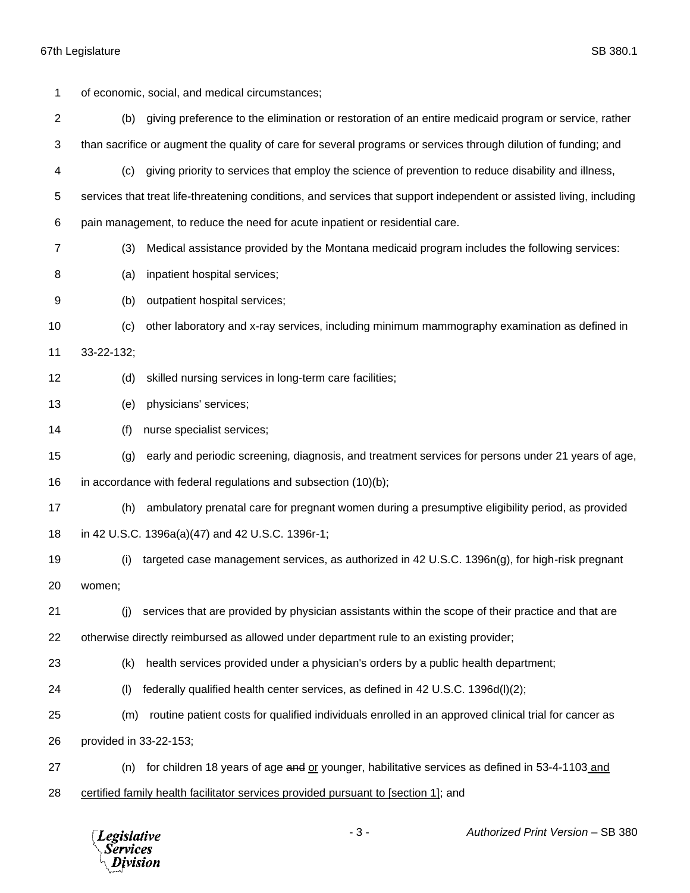| 1              |                                                                                    | of economic, social, and medical circumstances;                                                                      |  |
|----------------|------------------------------------------------------------------------------------|----------------------------------------------------------------------------------------------------------------------|--|
| $\overline{2}$ | (b)                                                                                | giving preference to the elimination or restoration of an entire medicaid program or service, rather                 |  |
| 3              |                                                                                    | than sacrifice or augment the quality of care for several programs or services through dilution of funding; and      |  |
| 4              | (c)                                                                                | giving priority to services that employ the science of prevention to reduce disability and illness,                  |  |
| 5              |                                                                                    | services that treat life-threatening conditions, and services that support independent or assisted living, including |  |
| 6              | pain management, to reduce the need for acute inpatient or residential care.       |                                                                                                                      |  |
| 7              | (3)                                                                                | Medical assistance provided by the Montana medicaid program includes the following services:                         |  |
| 8              | (a)                                                                                | inpatient hospital services;                                                                                         |  |
| 9              | (b)                                                                                | outpatient hospital services;                                                                                        |  |
| 10             | (c)                                                                                | other laboratory and x-ray services, including minimum mammography examination as defined in                         |  |
| 11             | 33-22-132;                                                                         |                                                                                                                      |  |
| 12             | (d)                                                                                | skilled nursing services in long-term care facilities;                                                               |  |
| 13             | (e)                                                                                | physicians' services;                                                                                                |  |
| 14             | (f)                                                                                | nurse specialist services;                                                                                           |  |
| 15             | (g)                                                                                | early and periodic screening, diagnosis, and treatment services for persons under 21 years of age,                   |  |
| 16             | in accordance with federal regulations and subsection (10)(b);                     |                                                                                                                      |  |
| 17             | (h)                                                                                | ambulatory prenatal care for pregnant women during a presumptive eligibility period, as provided                     |  |
| 18             |                                                                                    | in 42 U.S.C. 1396a(a)(47) and 42 U.S.C. 1396r-1;                                                                     |  |
| 19             | (i)                                                                                | targeted case management services, as authorized in 42 U.S.C. 1396n(g), for high-risk pregnant                       |  |
| 20             | women;                                                                             |                                                                                                                      |  |
| 21             | (i)                                                                                | services that are provided by physician assistants within the scope of their practice and that are                   |  |
| 22             |                                                                                    | otherwise directly reimbursed as allowed under department rule to an existing provider;                              |  |
| 23             | (k)                                                                                | health services provided under a physician's orders by a public health department;                                   |  |
| 24             | (1)                                                                                | federally qualified health center services, as defined in 42 U.S.C. 1396d(I)(2);                                     |  |
| 25             | (m)                                                                                | routine patient costs for qualified individuals enrolled in an approved clinical trial for cancer as                 |  |
| 26             | provided in 33-22-153;                                                             |                                                                                                                      |  |
| 27             | (n)                                                                                | for children 18 years of age and or younger, habilitative services as defined in 53-4-1103 and                       |  |
| 28             | certified family health facilitator services provided pursuant to [section 1]; and |                                                                                                                      |  |

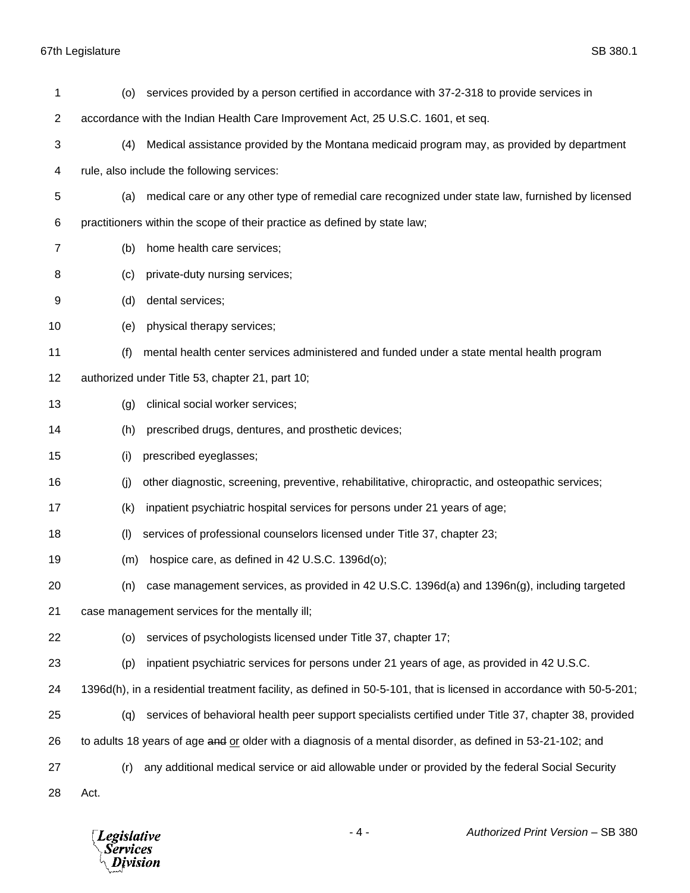| 1              | (0)                                                                                                        | services provided by a person certified in accordance with 37-2-318 to provide services in                           |  |  |
|----------------|------------------------------------------------------------------------------------------------------------|----------------------------------------------------------------------------------------------------------------------|--|--|
| $\overline{c}$ |                                                                                                            | accordance with the Indian Health Care Improvement Act, 25 U.S.C. 1601, et seq.                                      |  |  |
| 3              | (4)                                                                                                        | Medical assistance provided by the Montana medicaid program may, as provided by department                           |  |  |
| 4              | rule, also include the following services:                                                                 |                                                                                                                      |  |  |
| 5              | (a)                                                                                                        | medical care or any other type of remedial care recognized under state law, furnished by licensed                    |  |  |
| 6              | practitioners within the scope of their practice as defined by state law;                                  |                                                                                                                      |  |  |
| 7              | (b)                                                                                                        | home health care services;                                                                                           |  |  |
| 8              | (c)                                                                                                        | private-duty nursing services;                                                                                       |  |  |
| 9              | (d)                                                                                                        | dental services;                                                                                                     |  |  |
| 10             | (e)                                                                                                        | physical therapy services;                                                                                           |  |  |
| 11             | (f)                                                                                                        | mental health center services administered and funded under a state mental health program                            |  |  |
| 12             | authorized under Title 53, chapter 21, part 10;                                                            |                                                                                                                      |  |  |
| 13             | (g)                                                                                                        | clinical social worker services;                                                                                     |  |  |
| 14             | (h)                                                                                                        | prescribed drugs, dentures, and prosthetic devices;                                                                  |  |  |
| 15             | (i)                                                                                                        | prescribed eyeglasses;                                                                                               |  |  |
| 16             | (i)                                                                                                        | other diagnostic, screening, preventive, rehabilitative, chiropractic, and osteopathic services;                     |  |  |
| 17             | (k)                                                                                                        | inpatient psychiatric hospital services for persons under 21 years of age;                                           |  |  |
| 18             | (1)                                                                                                        | services of professional counselors licensed under Title 37, chapter 23;                                             |  |  |
| 19             | (m)                                                                                                        | hospice care, as defined in 42 U.S.C. 1396d(o);                                                                      |  |  |
| 20             | (n)                                                                                                        | case management services, as provided in 42 U.S.C. 1396d(a) and 1396n(g), including targeted                         |  |  |
| 21             | case management services for the mentally ill;                                                             |                                                                                                                      |  |  |
| 22             | (0)                                                                                                        | services of psychologists licensed under Title 37, chapter 17;                                                       |  |  |
| 23             | (p)                                                                                                        | inpatient psychiatric services for persons under 21 years of age, as provided in 42 U.S.C.                           |  |  |
| 24             |                                                                                                            | 1396d(h), in a residential treatment facility, as defined in 50-5-101, that is licensed in accordance with 50-5-201; |  |  |
| 25             | (q)                                                                                                        | services of behavioral health peer support specialists certified under Title 37, chapter 38, provided                |  |  |
| 26             | to adults 18 years of age and or older with a diagnosis of a mental disorder, as defined in 53-21-102; and |                                                                                                                      |  |  |
| 27             | (r)                                                                                                        | any additional medical service or aid allowable under or provided by the federal Social Security                     |  |  |
| 28             | Act.                                                                                                       |                                                                                                                      |  |  |

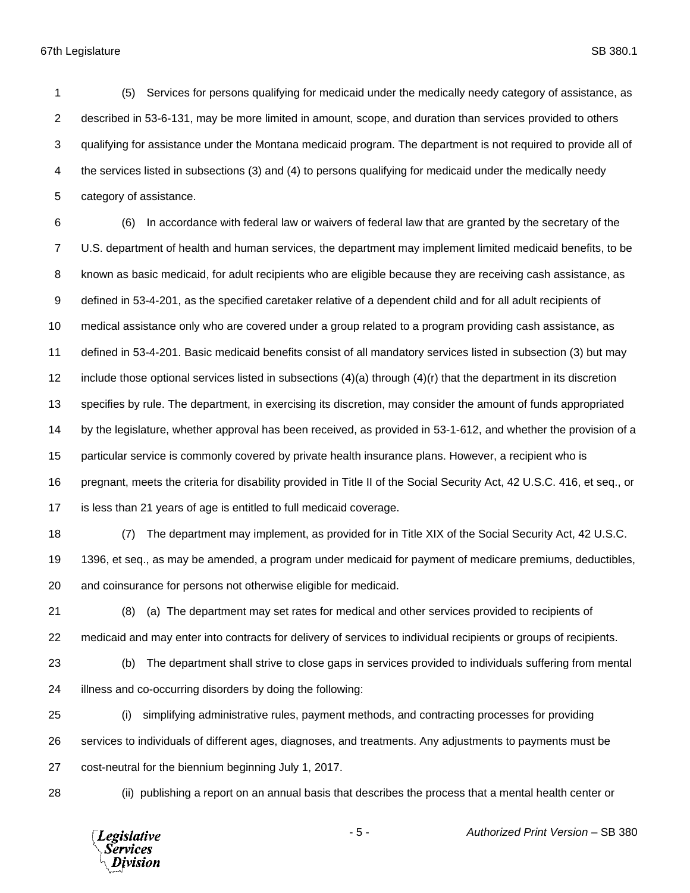(5) Services for persons qualifying for medicaid under the medically needy category of assistance, as described in 53-6-131, may be more limited in amount, scope, and duration than services provided to others qualifying for assistance under the Montana medicaid program. The department is not required to provide all of the services listed in subsections (3) and (4) to persons qualifying for medicaid under the medically needy category of assistance.

 (6) In accordance with federal law or waivers of federal law that are granted by the secretary of the U.S. department of health and human services, the department may implement limited medicaid benefits, to be known as basic medicaid, for adult recipients who are eligible because they are receiving cash assistance, as defined in 53-4-201, as the specified caretaker relative of a dependent child and for all adult recipients of medical assistance only who are covered under a group related to a program providing cash assistance, as defined in 53-4-201. Basic medicaid benefits consist of all mandatory services listed in subsection (3) but may 12 include those optional services listed in subsections  $(4)(a)$  through  $(4)(r)$  that the department in its discretion specifies by rule. The department, in exercising its discretion, may consider the amount of funds appropriated by the legislature, whether approval has been received, as provided in 53-1-612, and whether the provision of a particular service is commonly covered by private health insurance plans. However, a recipient who is pregnant, meets the criteria for disability provided in Title II of the Social Security Act, 42 U.S.C. 416, et seq., or is less than 21 years of age is entitled to full medicaid coverage.

 (7) The department may implement, as provided for in Title XIX of the Social Security Act, 42 U.S.C. 1396, et seq., as may be amended, a program under medicaid for payment of medicare premiums, deductibles, and coinsurance for persons not otherwise eligible for medicaid.

 (8) (a) The department may set rates for medical and other services provided to recipients of medicaid and may enter into contracts for delivery of services to individual recipients or groups of recipients.

 (b) The department shall strive to close gaps in services provided to individuals suffering from mental illness and co-occurring disorders by doing the following:

 (i) simplifying administrative rules, payment methods, and contracting processes for providing services to individuals of different ages, diagnoses, and treatments. Any adjustments to payments must be cost-neutral for the biennium beginning July 1, 2017.

(ii) publishing a report on an annual basis that describes the process that a mental health center or